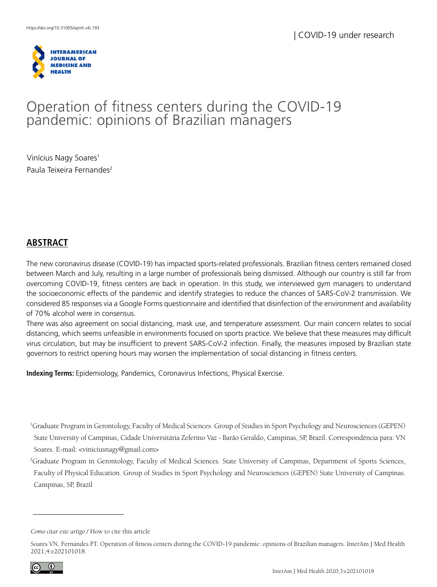

# Operation of fitness centers during the COVID-19 pandemic: opinions of Brazilian managers

Vinícius Nagy Soares<sup>1</sup> Paula Teixeira Fernandes<sup>2</sup>

# **ABSTRACT**

The new coronavirus disease (COVID-19) has impacted sports-related professionals. Brazilian fitness centers remained closed between March and July, resulting in a large number of professionals being dismissed. Although our country is still far from overcoming COVID-19, fitness centers are back in operation. In this study, we interviewed gym managers to understand the socioeconomic effects of the pandemic and identify strategies to reduce the chances of SARS-CoV-2 transmission. We considered 85 responses via a Google Forms questionnaire and identified that disinfection of the environment and availability of 70% alcohol were in consensus.

There was also agreement on social distancing, mask use, and temperature assessment. Our main concern relates to social distancing, which seems unfeasible in environments focused on sports practice. We believe that these measures may difficult virus circulation, but may be insufficient to prevent SARS-CoV-2 infection. Finally, the measures imposed by Brazilian state governors to restrict opening hours may worsen the implementation of social distancing in fitness centers.

**Indexing Terms:** Epidemiology, Pandemics, Coronavirus Infections, Physical Exercise.

1 Graduate Program in Gerontology, Faculty of Medical Sciences. Group of Studies in Sport Psychology and Neurosciences (GEPEN) State University of Campinas, Cidade Universitária Zeferino Vaz - Barão Geraldo, Campinas, SP, Brazil. Correspondência para: VN Soares. E-mail: <viniciusnagy@gmail.com>

2 Graduate Program in Gerontology, Faculty of Medical Sciences. State University of Campinas, Department of Sports Sciences, Faculty of Physical Education. Group of Studies in Sport Psychology and Neurosciences (GEPEN) State University of Campinas. Campinas, SP, Brazil

Soares VN, Fernandes PT. Operation of fitness centers during the COVID-19 pandemic: opinions of Brazilian managers. InterAm J Med Health 2021;4:e202101018.



*Como citar este artigo* / How to cite this article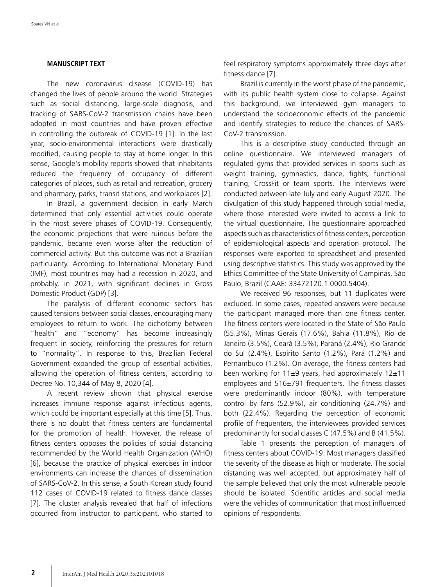#### **MANUSCRIPT TEXT**

The new coronavirus disease (COVID-19) has changed the lives of people around the world. Strategies such as social distancing, large-scale diagnosis, and tracking of SARS-CoV-2 transmission chains have been adopted in most countries and have proven effective in controlling the outbreak of COVID-19 [1]. In the last year, socio-environmental interactions were drastically modified, causing people to stay at home longer. In this sense, Google's mobility reports showed that inhabitants reduced the frequency of occupancy of different categories of places, such as retail and recreation, grocery and pharmacy, parks, transit stations, and workplaces [2].

In Brazil, a government decision in early March determined that only essential activities could operate in the most severe phases of COVID-19. Consequently, the economic projections that were ruinous before the pandemic, became even worse after the reduction of commercial activity. But this outcome was not a Brazilian particularity. According to International Monetary Fund (IMF), most countries may had a recession in 2020, and probably, in 2021, with significant declines in Gross Domestic Product (GDP) [3].

The paralysis of different economic sectors has caused tensions between social classes, encouraging many employees to return to work. The dichotomy between "health" and "economy" has become increasingly frequent in society, reinforcing the pressures for return to "normality". In response to this, Brazilian Federal Government expanded the group of essential activities, allowing the operation of fitness centers, according to Decree No. 10,344 of May 8, 2020 [4].

A recent review shown that physical exercise increases immune response against infectious agents, which could be important especially at this time [5]. Thus, there is no doubt that fitness centers are fundamental for the promotion of health. However, the release of fitness centers opposes the policies of social distancing recommended by the World Health Organization (WHO) [6], because the practice of physical exercises in indoor environments can increase the chances of dissemination of SARS-CoV-2. In this sense, a South Korean study found 112 cases of COVID-19 related to fitness dance classes [7]. The cluster analysis revealed that half of infections occurred from instructor to participant, who started to

feel respiratory symptoms approximately three days after fitness dance [7].

Brazil is currently in the worst phase of the pandemic, with its public health system close to collapse. Against this background, we interviewed gym managers to understand the socioeconomic effects of the pandemic and identify strategies to reduce the chances of SARS-CoV-2 transmission.

This is a descriptive study conducted through an online questionnaire. We interviewed managers of regulated gyms that provided services in sports such as weight training, gymnastics, dance, fights, functional training, CrossFit or team sports. The interviews were conducted between late July and early August 2020. The divulgation of this study happened through social media, where those interested were invited to access a link to the virtual questionnaire. The questionnaire approached aspects such as characteristics of fitness centers, perception of epidemiological aspects and operation protocol. The responses were exported to spreadsheet and presented using descriptive statistics. This study was approved by the Ethics Committee of the State University of Campinas, São Paulo, Brazil (CAAE: 33472120.1.0000.5404).

We received 96 responses, but 11 duplicates were excluded. In some cases, repeated answers were because the participant managed more than one fitness center. The fitness centers were located in the State of São Paulo (55.3%), Minas Gerais (17.6%), Bahia (11.8%), Rio de Janeiro (3.5%), Ceará (3.5%), Paraná (2.4%), Rio Grande do Sul (2.4%), Espírito Santo (1.2%), Pará (1.2%) and Pernambuco (1.2%). On average, the fitness centers had been working for  $11±9$  years, had approximately  $12±11$ employees and 516±791 frequenters. The fitness classes were predominantly indoor (80%), with temperature control by fans (52.9%), air conditioning (24.7%) and both (22.4%). Regarding the perception of economic profile of frequenters, the interviewees provided services predominantly for social classes C (47.5%) and B (41.5%).

Table 1 presents the perception of managers of fitness centers about COVID-19. Most managers classified the severity of the disease as high or moderate. The social distancing was well accepted, but approximately half of the sample believed that only the most vulnerable people should be isolated. Scientific articles and social media were the vehicles of communication that most influenced opinions of respondents.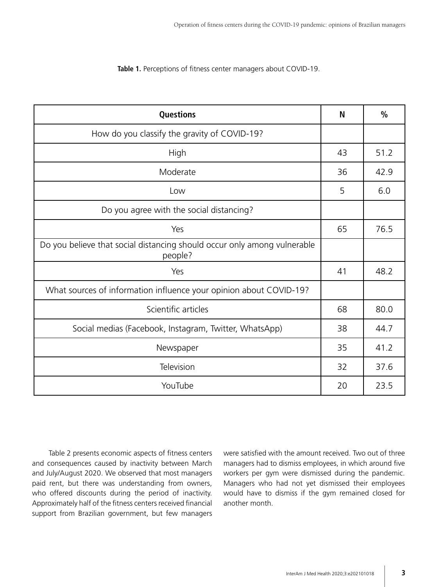**Table 1.** Perceptions of fitness center managers about COVID-19.

| Questions                                                                           | N  | $\frac{0}{0}$ |
|-------------------------------------------------------------------------------------|----|---------------|
| How do you classify the gravity of COVID-19?                                        |    |               |
| High                                                                                | 43 | 51.2          |
| Moderate                                                                            | 36 | 42.9          |
| Low                                                                                 | 5  | 6.0           |
| Do you agree with the social distancing?                                            |    |               |
| Yes                                                                                 | 65 | 76.5          |
| Do you believe that social distancing should occur only among vulnerable<br>people? |    |               |
| Yes                                                                                 | 41 | 48.2          |
| What sources of information influence your opinion about COVID-19?                  |    |               |
| Scientific articles                                                                 | 68 | 80.0          |
| Social medias (Facebook, Instagram, Twitter, WhatsApp)                              | 38 | 44.7          |
| Newspaper                                                                           | 35 | 41.2          |
| Television                                                                          | 32 | 37.6          |
| YouTube                                                                             | 20 | 23.5          |

Table 2 presents economic aspects of fitness centers and consequences caused by inactivity between March and July/August 2020. We observed that most managers paid rent, but there was understanding from owners, who offered discounts during the period of inactivity. Approximately half of the fitness centers received financial support from Brazilian government, but few managers

were satisfied with the amount received. Two out of three managers had to dismiss employees, in which around five workers per gym were dismissed during the pandemic. Managers who had not yet dismissed their employees would have to dismiss if the gym remained closed for another month.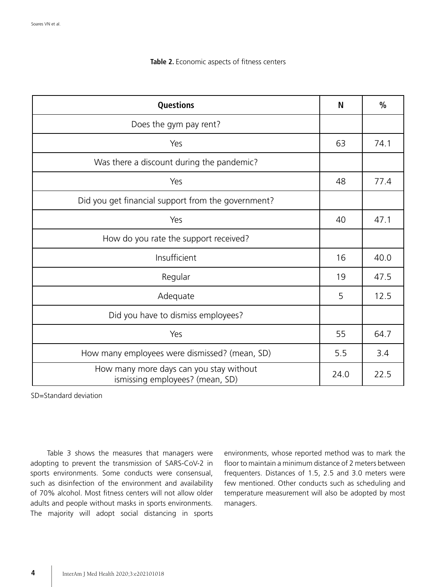#### **Table 2.** Economic aspects of fitness centers

| Questions                                                                  | N    | $\frac{0}{0}$ |
|----------------------------------------------------------------------------|------|---------------|
| Does the gym pay rent?                                                     |      |               |
| Yes                                                                        | 63   | 74.1          |
| Was there a discount during the pandemic?                                  |      |               |
| Yes                                                                        | 48   | 77.4          |
| Did you get financial support from the government?                         |      |               |
| Yes                                                                        | 40   | 47.1          |
| How do you rate the support received?                                      |      |               |
| Insufficient                                                               | 16   | 40.0          |
| Regular                                                                    | 19   | 47.5          |
| Adequate                                                                   | 5    | 12.5          |
| Did you have to dismiss employees?                                         |      |               |
| Yes                                                                        | 55   | 64.7          |
| How many employees were dismissed? (mean, SD)                              | 5.5  | 3.4           |
| How many more days can you stay without<br>ismissing employees? (mean, SD) | 24.0 | 22.5          |

SD=Standard deviation

Table 3 shows the measures that managers were adopting to prevent the transmission of SARS-CoV-2 in sports environments. Some conducts were consensual, such as disinfection of the environment and availability of 70% alcohol. Most fitness centers will not allow older adults and people without masks in sports environments. The majority will adopt social distancing in sports environments, whose reported method was to mark the floor to maintain a minimum distance of 2 meters between frequenters. Distances of 1.5, 2.5 and 3.0 meters were few mentioned. Other conducts such as scheduling and temperature measurement will also be adopted by most managers.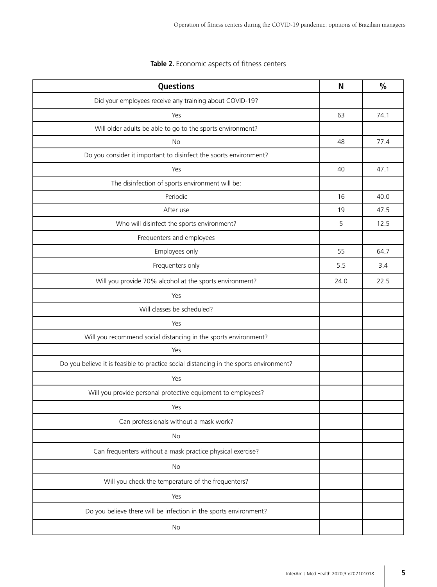| Questions                                                                              | N    | $\frac{0}{0}$ |
|----------------------------------------------------------------------------------------|------|---------------|
| Did your employees receive any training about COVID-19?                                |      |               |
| Yes                                                                                    | 63   | 74.1          |
| Will older adults be able to go to the sports environment?                             |      |               |
| <b>No</b>                                                                              | 48   | 77.4          |
| Do you consider it important to disinfect the sports environment?                      |      |               |
| Yes                                                                                    | 40   | 47.1          |
| The disinfection of sports environment will be:                                        |      |               |
| Periodic                                                                               | 16   | 40.0          |
| After use                                                                              | 19   | 47.5          |
| Who will disinfect the sports environment?                                             | 5    | 12.5          |
| Frequenters and employees                                                              |      |               |
| Employees only                                                                         | 55   | 64.7          |
| Frequenters only                                                                       | 5.5  | 3.4           |
| Will you provide 70% alcohol at the sports environment?                                | 24.0 | 22.5          |
| Yes                                                                                    |      |               |
| Will classes be scheduled?                                                             |      |               |
| Yes                                                                                    |      |               |
| Will you recommend social distancing in the sports environment?                        |      |               |
| Yes                                                                                    |      |               |
| Do you believe it is feasible to practice social distancing in the sports environment? |      |               |
| Yes                                                                                    |      |               |
| Will you provide personal protective equipment to employees?                           |      |               |
| Yes                                                                                    |      |               |
| Can professionals without a mask work?                                                 |      |               |
| No                                                                                     |      |               |
| Can frequenters without a mask practice physical exercise?                             |      |               |
| No                                                                                     |      |               |
| Will you check the temperature of the frequenters?                                     |      |               |
| Yes                                                                                    |      |               |
| Do you believe there will be infection in the sports environment?                      |      |               |
| No                                                                                     |      |               |

## **Table 2.** Economic aspects of fitness centers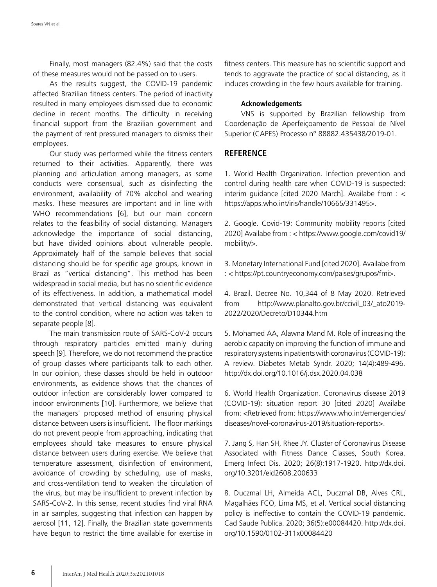Finally, most managers (82.4%) said that the costs of these measures would not be passed on to users.

As the results suggest, the COVID-19 pandemic affected Brazilian fitness centers. The period of inactivity resulted in many employees dismissed due to economic decline in recent months. The difficulty in receiving financial support from the Brazilian government and the payment of rent pressured managers to dismiss their employees.

Our study was performed while the fitness centers returned to their activities. Apparently, there was planning and articulation among managers, as some conducts were consensual, such as disinfecting the environment, availability of 70% alcohol and wearing masks. These measures are important and in line with WHO recommendations [6], but our main concern relates to the feasibility of social distancing. Managers acknowledge the importance of social distancing, but have divided opinions about vulnerable people. Approximately half of the sample believes that social distancing should be for specific age groups, known in Brazil as "vertical distancing". This method has been widespread in social media, but has no scientific evidence of its effectiveness. In addition, a mathematical model demonstrated that vertical distancing was equivalent to the control condition, where no action was taken to separate people [8].

The main transmission route of SARS-CoV-2 occurs through respiratory particles emitted mainly during speech [9]. Therefore, we do not recommend the practice of group classes where participants talk to each other. In our opinion, these classes should be held in outdoor environments, as evidence shows that the chances of outdoor infection are considerably lower compared to indoor environments [10]. Furthermore, we believe that the managers' proposed method of ensuring physical distance between users is insufficient. The floor markings do not prevent people from approaching, indicating that employees should take measures to ensure physical distance between users during exercise. We believe that temperature assessment, disinfection of environment, avoidance of crowding by scheduling, use of masks, and cross-ventilation tend to weaken the circulation of the virus, but may be insufficient to prevent infection by SARS-CoV-2. In this sense, recent studies find viral RNA in air samples, suggesting that infection can happen by aerosol [11, 12]. Finally, the Brazilian state governments have begun to restrict the time available for exercise in fitness centers. This measure has no scientific support and tends to aggravate the practice of social distancing, as it induces crowding in the few hours available for training.

#### **Acknowledgements**

VNS is supported by Brazilian fellowship from Coordenação de Aperfeiçoamento de Pessoal de Nível Superior (CAPES) Processo n° 88882.435438/2019-01.

### **REFERENCE**

1. World Health Organization. Infection prevention and control during health care when COVID-19 is suspected: interim guidance [cited 2020 March]. Availabe from  $:$  < https://apps.who.int/iris/handle/10665/331495>.

2. Google. Covid-19: Community mobility reports [cited 2020] Availabe from : < https://www.google.com/covid19/ mobility/>.

3. Monetary International Fund [cited 2020]. Availabe from : < https://pt.countryeconomy.com/paises/grupos/fmi>.

4. Brazil. Decree No. 10,344 of 8 May 2020. Retrieved from http://www.planalto.gov.br/ccivil\_03/\_ato2019- 2022/2020/Decreto/D10344.htm

5. Mohamed AA, Alawna Mand M. Role of increasing the aerobic capacity on improving the function of immune and respiratory systems in patients with coronavirus (COVID-19): A review. Diabetes Metab Syndr. 2020; 14(4):489-496. http://dx.doi.org/10.1016/j.dsx.2020.04.038

6. World Health Organization. Coronavirus disease 2019 (COVID-19): situation report 30 [cited 2020] Availabe from: <Retrieved from: https://www.who.int/emergencies/ diseases/novel-coronavirus-2019/situation-reports>.

7. Jang S, Han SH, Rhee JY. Cluster of Coronavirus Disease Associated with Fitness Dance Classes, South Korea. Emerg Infect Dis. 2020; 26(8):1917-1920. http://dx.doi. org/10.3201/eid2608.200633

8. Duczmal LH, Almeida ACL, Duczmal DB, Alves CRL, Magalhães FCO, Lima MS, et al. Vertical social distancing policy is ineffective to contain the COVID-19 pandemic. Cad Saude Publica. 2020; 36(5):e00084420. http://dx.doi. org/10.1590/0102-311x00084420